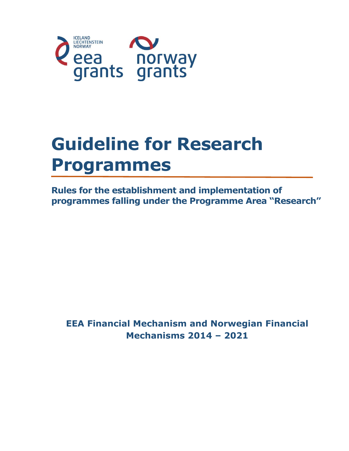

# **Guideline for Research Programmes**

**Rules for the establishment and implementation of programmes falling under the Programme Area "Research"**

**EEA Financial Mechanism and Norwegian Financial Mechanisms 2014 – 2021**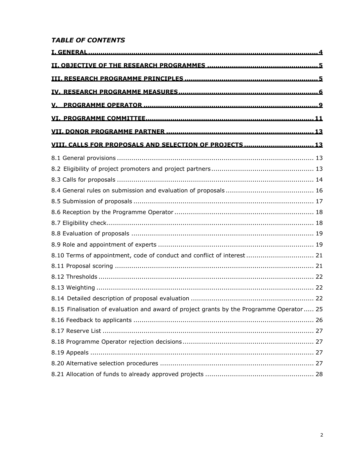## **TABLE OF CONTENTS**

| VIII. CALLS FOR PROPOSALS AND SELECTION OF PROJECTS  13                                  |  |
|------------------------------------------------------------------------------------------|--|
|                                                                                          |  |
|                                                                                          |  |
|                                                                                          |  |
|                                                                                          |  |
|                                                                                          |  |
|                                                                                          |  |
|                                                                                          |  |
|                                                                                          |  |
|                                                                                          |  |
| 8.10 Terms of appointment, code of conduct and conflict of interest  21                  |  |
|                                                                                          |  |
|                                                                                          |  |
|                                                                                          |  |
|                                                                                          |  |
| 8.15 Finalisation of evaluation and award of project grants by the Programme Operator 25 |  |
|                                                                                          |  |
|                                                                                          |  |
|                                                                                          |  |
|                                                                                          |  |
|                                                                                          |  |
|                                                                                          |  |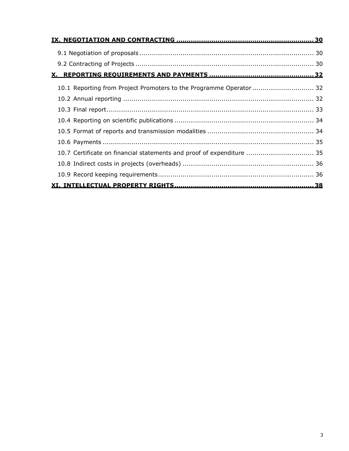| 10.1 Reporting from Project Promoters to the Programme Operator  32   |  |
|-----------------------------------------------------------------------|--|
|                                                                       |  |
|                                                                       |  |
|                                                                       |  |
|                                                                       |  |
|                                                                       |  |
| 10.7 Certificate on financial statements and proof of expenditure  35 |  |
|                                                                       |  |
|                                                                       |  |
|                                                                       |  |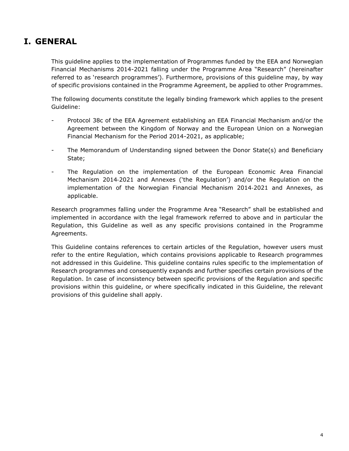# <span id="page-3-0"></span>**I. GENERAL**

This guideline applies to the implementation of Programmes funded by the EEA and Norwegian Financial Mechanisms 2014-2021 falling under the Programme Area "Research" (hereinafter referred to as 'research programmes'). Furthermore, provisions of this guideline may, by way of specific provisions contained in the Programme Agreement, be applied to other Programmes.

The following documents constitute the legally binding framework which applies to the present Guideline:

- Protocol 38c of the EEA Agreement establishing an EEA Financial Mechanism and/or the Agreement between the Kingdom of Norway and the European Union on a Norwegian Financial Mechanism for the Period 2014-2021, as applicable;
- The Memorandum of Understanding signed between the Donor State(s) and Beneficiary State;
- The Regulation on the implementation of the European Economic Area Financial Mechanism 2014‐2021 and Annexes ('the Regulation') and/or the Regulation on the implementation of the Norwegian Financial Mechanism 2014‐2021 and Annexes, as applicable.

Research programmes falling under the Programme Area "Research" shall be established and implemented in accordance with the legal framework referred to above and in particular the Regulation, this Guideline as well as any specific provisions contained in the Programme Agreements.

This Guideline contains references to certain articles of the Regulation, however users must refer to the entire Regulation, which contains provisions applicable to Research programmes not addressed in this Guideline. This guideline contains rules specific to the implementation of Research programmes and consequently expands and further specifies certain provisions of the Regulation. In case of inconsistency between specific provisions of the Regulation and specific provisions within this guideline, or where specifically indicated in this Guideline, the relevant provisions of this guideline shall apply.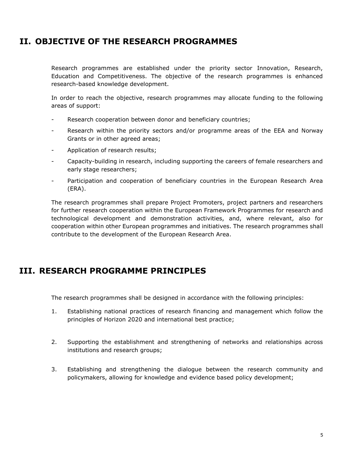# <span id="page-4-0"></span>**II. OBJECTIVE OF THE RESEARCH PROGRAMMES**

Research programmes are established under the priority sector Innovation, Research, Education and Competitiveness. The objective of the research programmes is enhanced research-based knowledge development.

In order to reach the objective, research programmes may allocate funding to the following areas of support:

- Research cooperation between donor and beneficiary countries;
- Research within the priority sectors and/or programme areas of the EEA and Norway Grants or in other agreed areas;
- Application of research results;
- Capacity-building in research, including supporting the careers of female researchers and early stage researchers;
- Participation and cooperation of beneficiary countries in the European Research Area (ERA).

The research programmes shall prepare Project Promoters, project partners and researchers for further research cooperation within the European Framework Programmes for research and technological development and demonstration activities, and, where relevant, also for cooperation within other European programmes and initiatives. The research programmes shall contribute to the development of the European Research Area.

## <span id="page-4-1"></span>**III. RESEARCH PROGRAMME PRINCIPLES**

The research programmes shall be designed in accordance with the following principles:

- 1. Establishing national practices of research financing and management which follow the principles of Horizon 2020 and international best practice;
- 2. Supporting the establishment and strengthening of networks and relationships across institutions and research groups;
- 3. Establishing and strengthening the dialogue between the research community and policymakers, allowing for knowledge and evidence based policy development;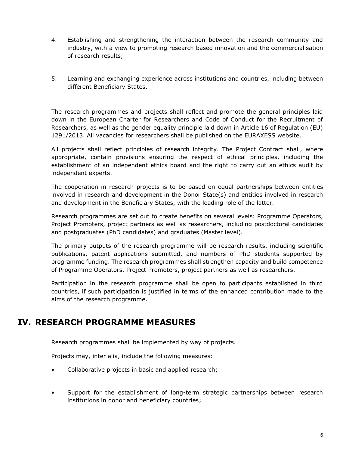- 4. Establishing and strengthening the interaction between the research community and industry, with a view to promoting research based innovation and the commercialisation of research results;
- 5. Learning and exchanging experience across institutions and countries, including between different Beneficiary States.

The research programmes and projects shall reflect and promote the general principles laid down in the European Charter for Researchers and Code of Conduct for the Recruitment of Researchers, as well as the gender equality principle laid down in Article 16 of Regulation (EU) 1291/2013. All vacancies for researchers shall be published on the EURAXESS website.

All projects shall reflect principles of research integrity. The Project Contract shall, where appropriate, contain provisions ensuring the respect of ethical principles, including the establishment of an independent ethics board and the right to carry out an ethics audit by independent experts.

The cooperation in research projects is to be based on equal partnerships between entities involved in research and development in the Donor State(s) and entities involved in research and development in the Beneficiary States, with the leading role of the latter.

Research programmes are set out to create benefits on several levels: Programme Operators, Project Promoters, project partners as well as researchers, including postdoctoral candidates and postgraduates (PhD candidates) and graduates (Master level).

The primary outputs of the research programme will be research results, including scientific publications, patent applications submitted, and numbers of PhD students supported by programme funding. The research programmes shall strengthen capacity and build competence of Programme Operators, Project Promoters, project partners as well as researchers.

Participation in the research programme shall be open to participants established in third countries, if such participation is justified in terms of the enhanced contribution made to the aims of the research programme.

# <span id="page-5-0"></span>**IV. RESEARCH PROGRAMME MEASURES**

Research programmes shall be implemented by way of projects.

Projects may, inter alia, include the following measures:

- Collaborative projects in basic and applied research;
- Support for the establishment of long-term strategic partnerships between research institutions in donor and beneficiary countries;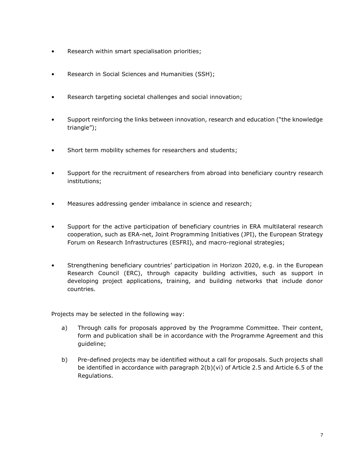- Research within smart specialisation priorities;
- Research in Social Sciences and Humanities (SSH);
- Research targeting societal challenges and social innovation;
- Support reinforcing the links between innovation, research and education ("the knowledge triangle");
- Short term mobility schemes for researchers and students;
- Support for the recruitment of researchers from abroad into beneficiary country research institutions;
- Measures addressing gender imbalance in science and research;
- Support for the active participation of beneficiary countries in ERA multilateral research cooperation, such as ERA-net, Joint Programming Initiatives (JPI), the European Strategy Forum on Research Infrastructures (ESFRI), and macro-regional strategies;
- Strengthening beneficiary countries' participation in Horizon 2020, e.g. in the European Research Council (ERC), through capacity building activities, such as support in developing project applications, training, and building networks that include donor countries.

Projects may be selected in the following way:

- a) Through calls for proposals approved by the Programme Committee. Their content, form and publication shall be in accordance with the Programme Agreement and this guideline;
- b) Pre-defined projects may be identified without a call for proposals. Such projects shall be identified in accordance with paragraph 2(b)(vi) of Article 2.5 and Article 6.5 of the Regulations.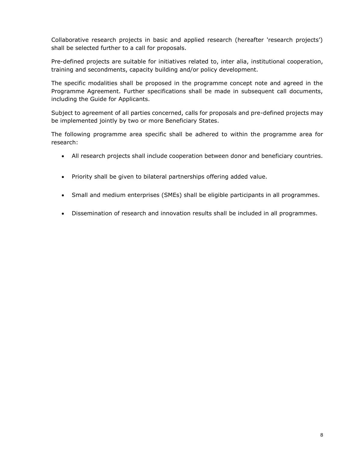Collaborative research projects in basic and applied research (hereafter 'research projects') shall be selected further to a call for proposals.

Pre-defined projects are suitable for initiatives related to, inter alia, institutional cooperation, training and secondments, capacity building and/or policy development.

The specific modalities shall be proposed in the programme concept note and agreed in the Programme Agreement. Further specifications shall be made in subsequent call documents, including the Guide for Applicants.

Subject to agreement of all parties concerned, calls for proposals and pre-defined projects may be implemented jointly by two or more Beneficiary States.

The following programme area specific shall be adhered to within the programme area for research:

- All research projects shall include cooperation between donor and beneficiary countries.
- Priority shall be given to bilateral partnerships offering added value.
- Small and medium enterprises (SMEs) shall be eligible participants in all programmes.
- Dissemination of research and innovation results shall be included in all programmes.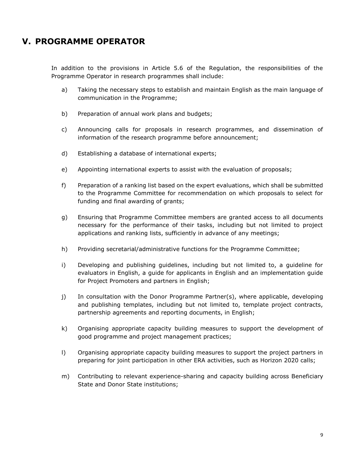# <span id="page-8-0"></span>**V. PROGRAMME OPERATOR**

In addition to the provisions in Article 5.6 of the Regulation, the responsibilities of the Programme Operator in research programmes shall include:

- a) Taking the necessary steps to establish and maintain English as the main language of communication in the Programme;
- b) Preparation of annual work plans and budgets;
- c) Announcing calls for proposals in research programmes, and dissemination of information of the research programme before announcement;
- d) Establishing a database of international experts;
- e) Appointing international experts to assist with the evaluation of proposals;
- f) Preparation of a ranking list based on the expert evaluations, which shall be submitted to the Programme Committee for recommendation on which proposals to select for funding and final awarding of grants;
- g) Ensuring that Programme Committee members are granted access to all documents necessary for the performance of their tasks, including but not limited to project applications and ranking lists, sufficiently in advance of any meetings;
- h) Providing secretarial/administrative functions for the Programme Committee;
- i) Developing and publishing guidelines, including but not limited to, a guideline for evaluators in English, a guide for applicants in English and an implementation guide for Project Promoters and partners in English;
- j) In consultation with the Donor Programme Partner(s), where applicable, developing and publishing templates, including but not limited to, template project contracts, partnership agreements and reporting documents, in English;
- k) Organising appropriate capacity building measures to support the development of good programme and project management practices;
- l) Organising appropriate capacity building measures to support the project partners in preparing for joint participation in other ERA activities, such as Horizon 2020 calls;
- m) Contributing to relevant experience-sharing and capacity building across Beneficiary State and Donor State institutions;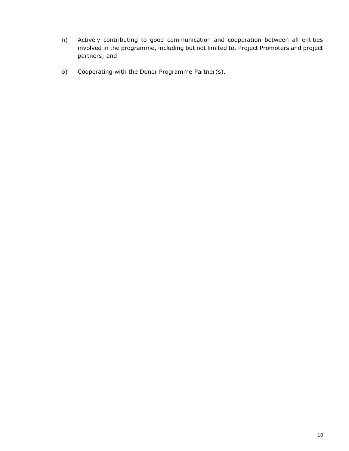- n) Actively contributing to good communication and cooperation between all entities involved in the programme, including but not limited to, Project Promoters and project partners; and
- o) Cooperating with the Donor Programme Partner(s).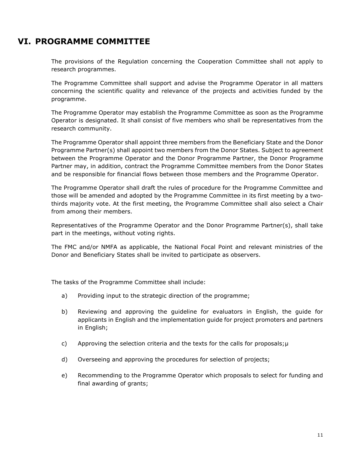# <span id="page-10-0"></span>**VI. PROGRAMME COMMITTEE**

The provisions of the Regulation concerning the Cooperation Committee shall not apply to research programmes.

The Programme Committee shall support and advise the Programme Operator in all matters concerning the scientific quality and relevance of the projects and activities funded by the programme.

The Programme Operator may establish the Programme Committee as soon as the Programme Operator is designated. It shall consist of five members who shall be representatives from the research community.

The Programme Operator shall appoint three members from the Beneficiary State and the Donor Programme Partner(s) shall appoint two members from the Donor States. Subject to agreement between the Programme Operator and the Donor Programme Partner, the Donor Programme Partner may, in addition, contract the Programme Committee members from the Donor States and be responsible for financial flows between those members and the Programme Operator.

The Programme Operator shall draft the rules of procedure for the Programme Committee and those will be amended and adopted by the Programme Committee in its first meeting by a twothirds majority vote. At the first meeting, the Programme Committee shall also select a Chair from among their members.

Representatives of the Programme Operator and the Donor Programme Partner(s), shall take part in the meetings, without voting rights.

The FMC and/or NMFA as applicable, the National Focal Point and relevant ministries of the Donor and Beneficiary States shall be invited to participate as observers.

The tasks of the Programme Committee shall include:

- a) Providing input to the strategic direction of the programme;
- b) Reviewing and approving the guideline for evaluators in English, the guide for applicants in English and the implementation guide for project promoters and partners in English;
- c) Approving the selection criteria and the texts for the calls for proposals; $\mu$
- d) Overseeing and approving the procedures for selection of projects;
- e) Recommending to the Programme Operator which proposals to select for funding and final awarding of grants;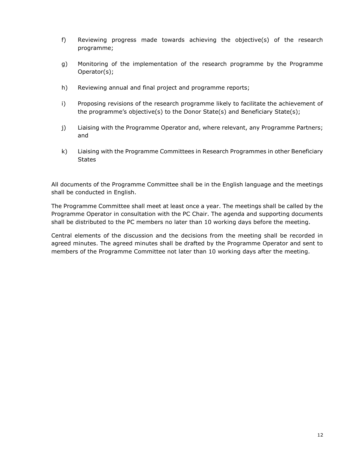- f) Reviewing progress made towards achieving the objective(s) of the research programme;
- g) Monitoring of the implementation of the research programme by the Programme Operator(s);
- h) Reviewing annual and final project and programme reports;
- i) Proposing revisions of the research programme likely to facilitate the achievement of the programme's objective(s) to the Donor State(s) and Beneficiary State(s);
- j) Liaising with the Programme Operator and, where relevant, any Programme Partners; and
- k) Liaising with the Programme Committees in Research Programmes in other Beneficiary **States**

All documents of the Programme Committee shall be in the English language and the meetings shall be conducted in English.

The Programme Committee shall meet at least once a year. The meetings shall be called by the Programme Operator in consultation with the PC Chair. The agenda and supporting documents shall be distributed to the PC members no later than 10 working days before the meeting.

Central elements of the discussion and the decisions from the meeting shall be recorded in agreed minutes. The agreed minutes shall be drafted by the Programme Operator and sent to members of the Programme Committee not later than 10 working days after the meeting.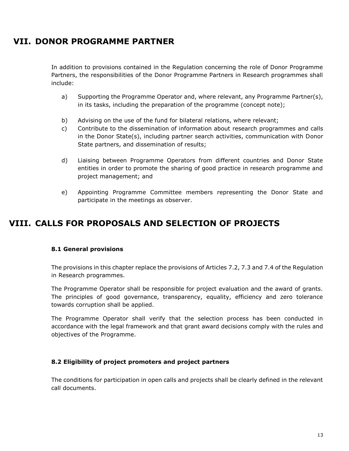# <span id="page-12-0"></span>**VII. DONOR PROGRAMME PARTNER**

In addition to provisions contained in the Regulation concerning the role of Donor Programme Partners, the responsibilities of the Donor Programme Partners in Research programmes shall include:

- a) Supporting the Programme Operator and, where relevant, any Programme Partner(s), in its tasks, including the preparation of the programme (concept note);
- b) Advising on the use of the fund for bilateral relations, where relevant;
- c) Contribute to the dissemination of information about research programmes and calls in the Donor State(s), including partner search activities, communication with Donor State partners, and dissemination of results;
- d) Liaising between Programme Operators from different countries and Donor State entities in order to promote the sharing of good practice in research programme and project management; and
- e) Appointing Programme Committee members representing the Donor State and participate in the meetings as observer.

# <span id="page-12-1"></span>**VIII. CALLS FOR PROPOSALS AND SELECTION OF PROJECTS**

#### <span id="page-12-2"></span>**8.1 General provisions**

The provisions in this chapter replace the provisions of Articles 7.2, 7.3 and 7.4 of the Regulation in Research programmes.

The Programme Operator shall be responsible for project evaluation and the award of grants. The principles of good governance, transparency, equality, efficiency and zero tolerance towards corruption shall be applied.

The Programme Operator shall verify that the selection process has been conducted in accordance with the legal framework and that grant award decisions comply with the rules and objectives of the Programme.

#### <span id="page-12-3"></span>**8.2 Eligibility of project promoters and project partners**

The conditions for participation in open calls and projects shall be clearly defined in the relevant call documents.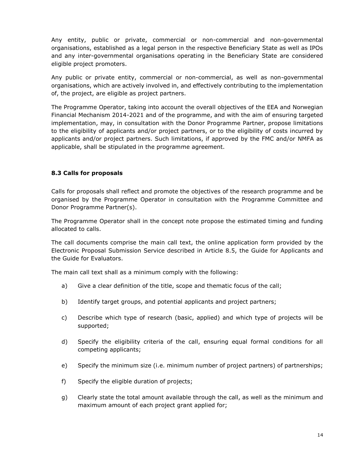Any entity, public or private, commercial or non-commercial and non-governmental organisations, established as a legal person in the respective Beneficiary State as well as IPOs and any inter-governmental organisations operating in the Beneficiary State are considered eligible project promoters.

Any public or private entity, commercial or non-commercial, as well as non-governmental organisations, which are actively involved in, and effectively contributing to the implementation of, the project, are eligible as project partners.

The Programme Operator, taking into account the overall objectives of the EEA and Norwegian Financial Mechanism 2014-2021 and of the programme, and with the aim of ensuring targeted implementation, may, in consultation with the Donor Programme Partner, propose limitations to the eligibility of applicants and/or project partners, or to the eligibility of costs incurred by applicants and/or project partners. Such limitations, if approved by the FMC and/or NMFA as applicable, shall be stipulated in the programme agreement.

## <span id="page-13-0"></span>**8.3 Calls for proposals**

Calls for proposals shall reflect and promote the objectives of the research programme and be organised by the Programme Operator in consultation with the Programme Committee and Donor Programme Partner(s).

The Programme Operator shall in the concept note propose the estimated timing and funding allocated to calls.

The call documents comprise the main call text, the online application form provided by the Electronic Proposal Submission Service described in Article 8.5, the Guide for Applicants and the Guide for Evaluators.

The main call text shall as a minimum comply with the following:

- a) Give a clear definition of the title, scope and thematic focus of the call;
- b) Identify target groups, and potential applicants and project partners;
- c) Describe which type of research (basic, applied) and which type of projects will be supported;
- d) Specify the eligibility criteria of the call, ensuring equal formal conditions for all competing applicants;
- e) Specify the minimum size (i.e. minimum number of project partners) of partnerships;
- f) Specify the eligible duration of projects;
- g) Clearly state the total amount available through the call, as well as the minimum and maximum amount of each project grant applied for;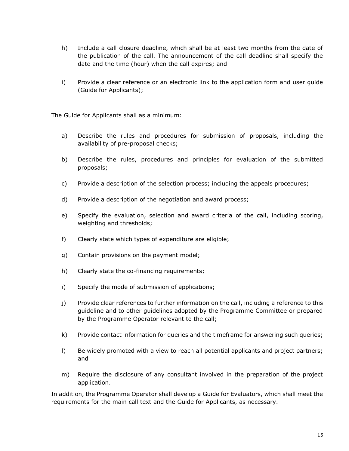- h) Include a call closure deadline, which shall be at least two months from the date of the publication of the call. The announcement of the call deadline shall specify the date and the time (hour) when the call expires; and
- i) Provide a clear reference or an electronic link to the application form and user guide (Guide for Applicants);

The Guide for Applicants shall as a minimum:

- a) Describe the rules and procedures for submission of proposals, including the availability of pre-proposal checks;
- b) Describe the rules, procedures and principles for evaluation of the submitted proposals;
- c) Provide a description of the selection process; including the appeals procedures;
- d) Provide a description of the negotiation and award process;
- e) Specify the evaluation, selection and award criteria of the call, including scoring, weighting and thresholds;
- f) Clearly state which types of expenditure are eligible;
- g) Contain provisions on the payment model;
- h) Clearly state the co-financing requirements;
- i) Specify the mode of submission of applications;
- j) Provide clear references to further information on the call, including a reference to this guideline and to other guidelines adopted by the Programme Committee or prepared by the Programme Operator relevant to the call;
- k) Provide contact information for queries and the timeframe for answering such queries;
- l) Be widely promoted with a view to reach all potential applicants and project partners; and
- m) Require the disclosure of any consultant involved in the preparation of the project application.

In addition, the Programme Operator shall develop a Guide for Evaluators, which shall meet the requirements for the main call text and the Guide for Applicants, as necessary.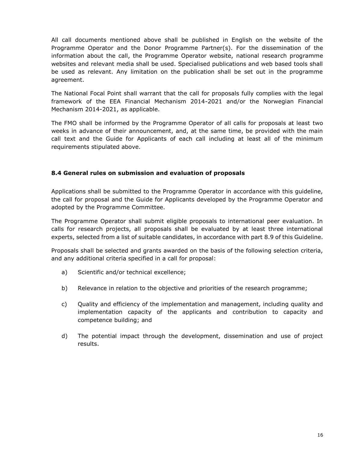All call documents mentioned above shall be published in English on the website of the Programme Operator and the Donor Programme Partner(s). For the dissemination of the information about the call, the Programme Operator website, national research programme websites and relevant media shall be used. Specialised publications and web based tools shall be used as relevant. Any limitation on the publication shall be set out in the programme agreement.

The National Focal Point shall warrant that the call for proposals fully complies with the legal framework of the EEA Financial Mechanism 2014-2021 and/or the Norwegian Financial Mechanism 2014-2021, as applicable.

The FMO shall be informed by the Programme Operator of all calls for proposals at least two weeks in advance of their announcement, and, at the same time, be provided with the main call text and the Guide for Applicants of each call including at least all of the minimum requirements stipulated above.

#### <span id="page-15-0"></span>**8.4 General rules on submission and evaluation of proposals**

Applications shall be submitted to the Programme Operator in accordance with this guideline, the call for proposal and the Guide for Applicants developed by the Programme Operator and adopted by the Programme Committee.

The Programme Operator shall submit eligible proposals to international peer evaluation. In calls for research projects, all proposals shall be evaluated by at least three international experts, selected from a list of suitable candidates, in accordance with part 8.9 of this Guideline.

Proposals shall be selected and grants awarded on the basis of the following selection criteria, and any additional criteria specified in a call for proposal:

- a) Scientific and/or technical excellence;
- b) Relevance in relation to the objective and priorities of the research programme;
- c) Quality and efficiency of the implementation and management, including quality and implementation capacity of the applicants and contribution to capacity and competence building; and
- d) The potential impact through the development, dissemination and use of project results.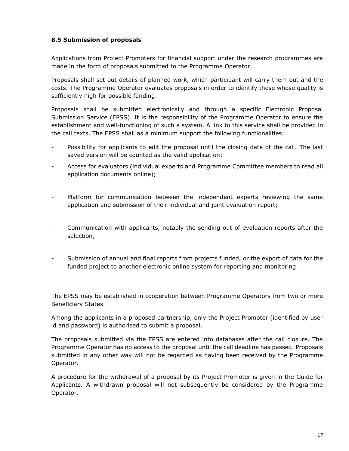#### <span id="page-16-0"></span>**8.5 Submission of proposals**

Applications from Project Promoters for financial support under the research programmes are made in the form of proposals submitted to the Programme Operator.

Proposals shall set out details of planned work, which participant will carry them out and the costs. The Programme Operator evaluates proposals in order to identify those whose quality is sufficiently high for possible funding.

Proposals shall be submitted electronically and through a specific Electronic Proposal Submission Service (EPSS). It is the responsibility of the Programme Operator to ensure the establishment and well-functioning of such a system. A link to this service shall be provided in the call texts. The EPSS shall as a minimum support the following functionalities:

- Possibility for applicants to edit the proposal until the closing date of the call. The last saved version will be counted as the valid application;
- Access for evaluators (individual experts and Programme Committee members to read all application documents online);
- Platform for communication between the independent experts reviewing the same application and submission of their individual and joint evaluation report;
- Communication with applicants, notably the sending out of evaluation reports after the selection;
- Submission of annual and final reports from projects funded, or the export of data for the funded project to another electronic online system for reporting and monitoring.

The EPSS may be established in cooperation between Programme Operators from two or more Beneficiary States.

Among the applicants in a proposed partnership, only the Project Promoter (identified by user id and password) is authorised to submit a proposal.

The proposals submitted via the EPSS are entered into databases after the call closure. The Programme Operator has no access to the proposal until the call deadline has passed. Proposals submitted in any other way will not be regarded as having been received by the Programme Operator.

A procedure for the withdrawal of a proposal by its Project Promoter is given in the Guide for Applicants. A withdrawn proposal will not subsequently be considered by the Programme Operator.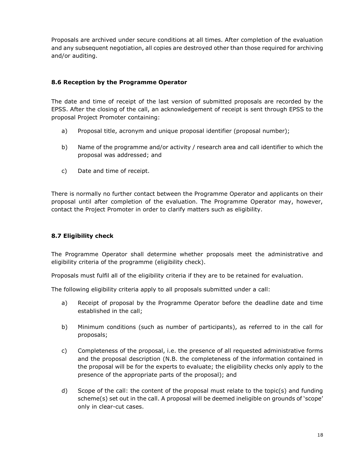Proposals are archived under secure conditions at all times. After completion of the evaluation and any subsequent negotiation, all copies are destroyed other than those required for archiving and/or auditing.

#### <span id="page-17-0"></span>**8.6 Reception by the Programme Operator**

The date and time of receipt of the last version of submitted proposals are recorded by the EPSS. After the closing of the call, an acknowledgement of receipt is sent through EPSS to the proposal Project Promoter containing:

- a) Proposal title, acronym and unique proposal identifier (proposal number);
- b) Name of the programme and/or activity / research area and call identifier to which the proposal was addressed; and
- c) Date and time of receipt.

There is normally no further contact between the Programme Operator and applicants on their proposal until after completion of the evaluation. The Programme Operator may, however, contact the Project Promoter in order to clarify matters such as eligibility.

## <span id="page-17-1"></span>**8.7 Eligibility check**

The Programme Operator shall determine whether proposals meet the administrative and eligibility criteria of the programme (eligibility check).

Proposals must fulfil all of the eligibility criteria if they are to be retained for evaluation.

The following eligibility criteria apply to all proposals submitted under a call:

- a) Receipt of proposal by the Programme Operator before the deadline date and time established in the call;
- b) Minimum conditions (such as number of participants), as referred to in the call for proposals;
- c) Completeness of the proposal, i.e. the presence of all requested administrative forms and the proposal description (N.B. the completeness of the information contained in the proposal will be for the experts to evaluate; the eligibility checks only apply to the presence of the appropriate parts of the proposal); and
- d) Scope of the call: the content of the proposal must relate to the topic(s) and funding scheme(s) set out in the call. A proposal will be deemed ineligible on grounds of 'scope' only in clear-cut cases.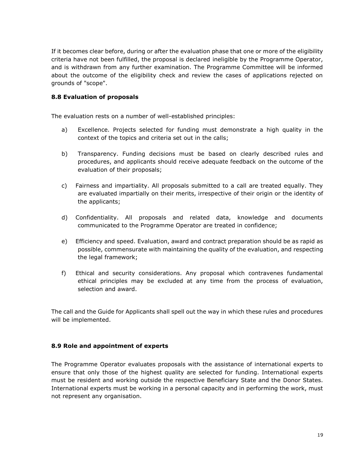If it becomes clear before, during or after the evaluation phase that one or more of the eligibility criteria have not been fulfilled, the proposal is declared ineligible by the Programme Operator, and is withdrawn from any further examination. The Programme Committee will be informed about the outcome of the eligibility check and review the cases of applications rejected on grounds of "scope".

#### <span id="page-18-0"></span>**8.8 Evaluation of proposals**

The evaluation rests on a number of well-established principles:

- a) Excellence. Projects selected for funding must demonstrate a high quality in the context of the topics and criteria set out in the calls;
- b) Transparency. Funding decisions must be based on clearly described rules and procedures, and applicants should receive adequate feedback on the outcome of the evaluation of their proposals;
- c) Fairness and impartiality. All proposals submitted to a call are treated equally. They are evaluated impartially on their merits, irrespective of their origin or the identity of the applicants;
- d) Confidentiality. All proposals and related data, knowledge and documents communicated to the Programme Operator are treated in confidence;
- e) Efficiency and speed. Evaluation, award and contract preparation should be as rapid as possible, commensurate with maintaining the quality of the evaluation, and respecting the legal framework;
- f) Ethical and security considerations. Any proposal which contravenes fundamental ethical principles may be excluded at any time from the process of evaluation, selection and award.

The call and the Guide for Applicants shall spell out the way in which these rules and procedures will be implemented.

#### <span id="page-18-1"></span>**8.9 Role and appointment of experts**

The Programme Operator evaluates proposals with the assistance of international experts to ensure that only those of the highest quality are selected for funding. International experts must be resident and working outside the respective Beneficiary State and the Donor States. International experts must be working in a personal capacity and in performing the work, must not represent any organisation.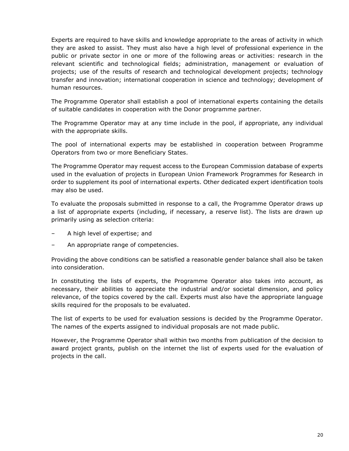Experts are required to have skills and knowledge appropriate to the areas of activity in which they are asked to assist. They must also have a high level of professional experience in the public or private sector in one or more of the following areas or activities: research in the relevant scientific and technological fields; administration, management or evaluation of projects; use of the results of research and technological development projects; technology transfer and innovation; international cooperation in science and technology; development of human resources.

The Programme Operator shall establish a pool of international experts containing the details of suitable candidates in cooperation with the Donor programme partner.

The Programme Operator may at any time include in the pool, if appropriate, any individual with the appropriate skills.

The pool of international experts may be established in cooperation between Programme Operators from two or more Beneficiary States.

The Programme Operator may request access to the European Commission database of experts used in the evaluation of projects in European Union Framework Programmes for Research in order to supplement its pool of international experts. Other dedicated expert identification tools may also be used.

To evaluate the proposals submitted in response to a call, the Programme Operator draws up a list of appropriate experts (including, if necessary, a reserve list). The lists are drawn up primarily using as selection criteria:

- A high level of expertise; and
- An appropriate range of competencies.

Providing the above conditions can be satisfied a reasonable gender balance shall also be taken into consideration.

In constituting the lists of experts, the Programme Operator also takes into account, as necessary, their abilities to appreciate the industrial and/or societal dimension, and policy relevance, of the topics covered by the call. Experts must also have the appropriate language skills required for the proposals to be evaluated.

The list of experts to be used for evaluation sessions is decided by the Programme Operator. The names of the experts assigned to individual proposals are not made public.

However, the Programme Operator shall within two months from publication of the decision to award project grants, publish on the internet the list of experts used for the evaluation of projects in the call.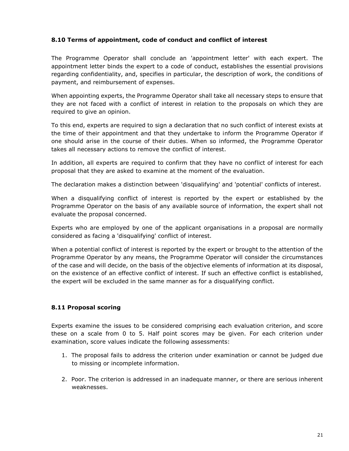#### <span id="page-20-0"></span>**8.10 Terms of appointment, code of conduct and conflict of interest**

The Programme Operator shall conclude an 'appointment letter' with each expert. The appointment letter binds the expert to a code of conduct, establishes the essential provisions regarding confidentiality, and, specifies in particular, the description of work, the conditions of payment, and reimbursement of expenses.

When appointing experts, the Programme Operator shall take all necessary steps to ensure that they are not faced with a conflict of interest in relation to the proposals on which they are required to give an opinion.

To this end, experts are required to sign a declaration that no such conflict of interest exists at the time of their appointment and that they undertake to inform the Programme Operator if one should arise in the course of their duties. When so informed, the Programme Operator takes all necessary actions to remove the conflict of interest.

In addition, all experts are required to confirm that they have no conflict of interest for each proposal that they are asked to examine at the moment of the evaluation.

The declaration makes a distinction between 'disqualifying' and 'potential' conflicts of interest.

When a disqualifying conflict of interest is reported by the expert or established by the Programme Operator on the basis of any available source of information, the expert shall not evaluate the proposal concerned.

Experts who are employed by one of the applicant organisations in a proposal are normally considered as facing a 'disqualifying' conflict of interest.

When a potential conflict of interest is reported by the expert or brought to the attention of the Programme Operator by any means, the Programme Operator will consider the circumstances of the case and will decide, on the basis of the objective elements of information at its disposal, on the existence of an effective conflict of interest. If such an effective conflict is established, the expert will be excluded in the same manner as for a disqualifying conflict.

#### <span id="page-20-1"></span>**8.11 Proposal scoring**

Experts examine the issues to be considered comprising each evaluation criterion, and score these on a scale from 0 to 5. Half point scores may be given. For each criterion under examination, score values indicate the following assessments:

- 1. The proposal fails to address the criterion under examination or cannot be judged due to missing or incomplete information.
- 2. Poor. The criterion is addressed in an inadequate manner, or there are serious inherent weaknesses.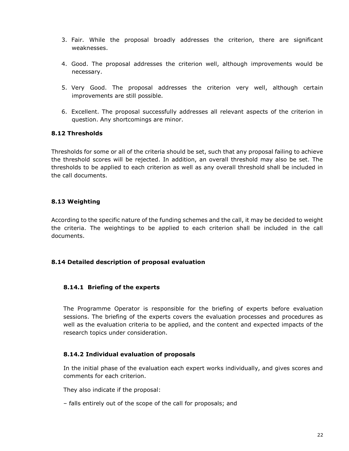- 3. Fair. While the proposal broadly addresses the criterion, there are significant weaknesses.
- 4. Good. The proposal addresses the criterion well, although improvements would be necessary.
- 5. Very Good. The proposal addresses the criterion very well, although certain improvements are still possible.
- 6. Excellent. The proposal successfully addresses all relevant aspects of the criterion in question. Any shortcomings are minor.

#### <span id="page-21-0"></span>**8.12 Thresholds**

Thresholds for some or all of the criteria should be set, such that any proposal failing to achieve the threshold scores will be rejected. In addition, an overall threshold may also be set. The thresholds to be applied to each criterion as well as any overall threshold shall be included in the call documents.

#### <span id="page-21-1"></span>**8.13 Weighting**

According to the specific nature of the funding schemes and the call, it may be decided to weight the criteria. The weightings to be applied to each criterion shall be included in the call documents.

#### <span id="page-21-2"></span>**8.14 Detailed description of proposal evaluation**

#### **8.14.1 Briefing of the experts**

The Programme Operator is responsible for the briefing of experts before evaluation sessions. The briefing of the experts covers the evaluation processes and procedures as well as the evaluation criteria to be applied, and the content and expected impacts of the research topics under consideration.

#### **8.14.2 Individual evaluation of proposals**

In the initial phase of the evaluation each expert works individually, and gives scores and comments for each criterion.

They also indicate if the proposal:

– falls entirely out of the scope of the call for proposals; and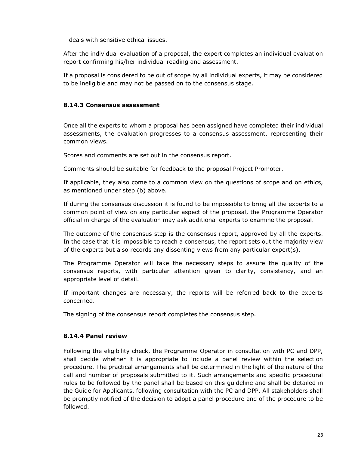– deals with sensitive ethical issues.

After the individual evaluation of a proposal, the expert completes an individual evaluation report confirming his/her individual reading and assessment.

If a proposal is considered to be out of scope by all individual experts, it may be considered to be ineligible and may not be passed on to the consensus stage.

#### **8.14.3 Consensus assessment**

Once all the experts to whom a proposal has been assigned have completed their individual assessments, the evaluation progresses to a consensus assessment, representing their common views.

Scores and comments are set out in the consensus report.

Comments should be suitable for feedback to the proposal Project Promoter.

If applicable, they also come to a common view on the questions of scope and on ethics, as mentioned under step (b) above.

If during the consensus discussion it is found to be impossible to bring all the experts to a common point of view on any particular aspect of the proposal, the Programme Operator official in charge of the evaluation may ask additional experts to examine the proposal.

The outcome of the consensus step is the consensus report, approved by all the experts. In the case that it is impossible to reach a consensus, the report sets out the majority view of the experts but also records any dissenting views from any particular expert(s).

The Programme Operator will take the necessary steps to assure the quality of the consensus reports, with particular attention given to clarity, consistency, and an appropriate level of detail.

If important changes are necessary, the reports will be referred back to the experts concerned.

The signing of the consensus report completes the consensus step.

#### **8.14.4 Panel review**

Following the eligibility check, the Programme Operator in consultation with PC and DPP, shall decide whether it is appropriate to include a panel review within the selection procedure. The practical arrangements shall be determined in the light of the nature of the call and number of proposals submitted to it. Such arrangements and specific procedural rules to be followed by the panel shall be based on this guideline and shall be detailed in the Guide for Applicants, following consultation with the PC and DPP. All stakeholders shall be promptly notified of the decision to adopt a panel procedure and of the procedure to be followed.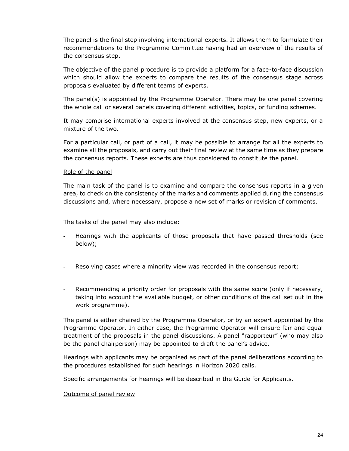The panel is the final step involving international experts. It allows them to formulate their recommendations to the Programme Committee having had an overview of the results of the consensus step.

The objective of the panel procedure is to provide a platform for a face-to-face discussion which should allow the experts to compare the results of the consensus stage across proposals evaluated by different teams of experts.

The panel(s) is appointed by the Programme Operator. There may be one panel covering the whole call or several panels covering different activities, topics, or funding schemes.

It may comprise international experts involved at the consensus step, new experts, or a mixture of the two.

For a particular call, or part of a call, it may be possible to arrange for all the experts to examine all the proposals, and carry out their final review at the same time as they prepare the consensus reports. These experts are thus considered to constitute the panel.

#### Role of the panel

The main task of the panel is to examine and compare the consensus reports in a given area, to check on the consistency of the marks and comments applied during the consensus discussions and, where necessary, propose a new set of marks or revision of comments.

The tasks of the panel may also include:

- Hearings with the applicants of those proposals that have passed thresholds (see below);
- Resolving cases where a minority view was recorded in the consensus report;
- Recommending a priority order for proposals with the same score (only if necessary, taking into account the available budget, or other conditions of the call set out in the work programme).

The panel is either chaired by the Programme Operator, or by an expert appointed by the Programme Operator. In either case, the Programme Operator will ensure fair and equal treatment of the proposals in the panel discussions. A panel "rapporteur" (who may also be the panel chairperson) may be appointed to draft the panel's advice.

Hearings with applicants may be organised as part of the panel deliberations according to the procedures established for such hearings in Horizon 2020 calls.

Specific arrangements for hearings will be described in the Guide for Applicants.

#### Outcome of panel review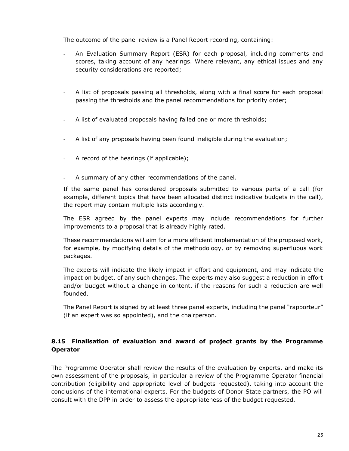The outcome of the panel review is a Panel Report recording, containing:

- An Evaluation Summary Report (ESR) for each proposal, including comments and scores, taking account of any hearings. Where relevant, any ethical issues and any security considerations are reported;
- A list of proposals passing all thresholds, along with a final score for each proposal passing the thresholds and the panel recommendations for priority order;
- A list of evaluated proposals having failed one or more thresholds;
- A list of any proposals having been found ineligible during the evaluation;
- A record of the hearings (if applicable);
- A summary of any other recommendations of the panel.

If the same panel has considered proposals submitted to various parts of a call (for example, different topics that have been allocated distinct indicative budgets in the call), the report may contain multiple lists accordingly.

The ESR agreed by the panel experts may include recommendations for further improvements to a proposal that is already highly rated.

These recommendations will aim for a more efficient implementation of the proposed work, for example, by modifying details of the methodology, or by removing superfluous work packages.

The experts will indicate the likely impact in effort and equipment, and may indicate the impact on budget, of any such changes. The experts may also suggest a reduction in effort and/or budget without a change in content, if the reasons for such a reduction are well founded.

The Panel Report is signed by at least three panel experts, including the panel "rapporteur" (if an expert was so appointed), and the chairperson.

## <span id="page-24-0"></span>**8.15 Finalisation of evaluation and award of project grants by the Programme Operator**

The Programme Operator shall review the results of the evaluation by experts, and make its own assessment of the proposals, in particular a review of the Programme Operator financial contribution (eligibility and appropriate level of budgets requested), taking into account the conclusions of the international experts. For the budgets of Donor State partners, the PO will consult with the DPP in order to assess the appropriateness of the budget requested.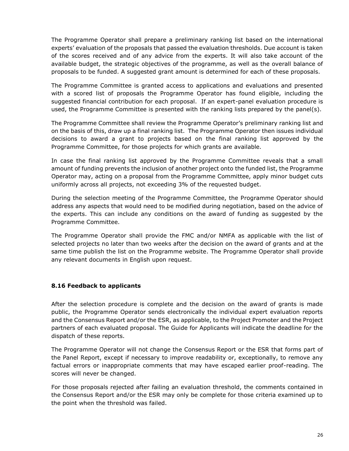The Programme Operator shall prepare a preliminary ranking list based on the international experts' evaluation of the proposals that passed the evaluation thresholds. Due account is taken of the scores received and of any advice from the experts. It will also take account of the available budget, the strategic objectives of the programme, as well as the overall balance of proposals to be funded. A suggested grant amount is determined for each of these proposals.

The Programme Committee is granted access to applications and evaluations and presented with a scored list of proposals the Programme Operator has found eligible, including the suggested financial contribution for each proposal. If an expert-panel evaluation procedure is used, the Programme Committee is presented with the ranking lists prepared by the panel(s).

The Programme Committee shall review the Programme Operator's preliminary ranking list and on the basis of this, draw up a final ranking list. The Programme Operator then issues individual decisions to award a grant to projects based on the final ranking list approved by the Programme Committee, for those projects for which grants are available.

In case the final ranking list approved by the Programme Committee reveals that a small amount of funding prevents the inclusion of another project onto the funded list, the Programme Operator may, acting on a proposal from the Programme Committee, apply minor budget cuts uniformly across all projects, not exceeding 3% of the requested budget.

During the selection meeting of the Programme Committee, the Programme Operator should address any aspects that would need to be modified during negotiation, based on the advice of the experts. This can include any conditions on the award of funding as suggested by the Programme Committee.

The Programme Operator shall provide the FMC and/or NMFA as applicable with the list of selected projects no later than two weeks after the decision on the award of grants and at the same time publish the list on the Programme website. The Programme Operator shall provide any relevant documents in English upon request.

#### <span id="page-25-0"></span>**8.16 Feedback to applicants**

After the selection procedure is complete and the decision on the award of grants is made public, the Programme Operator sends electronically the individual expert evaluation reports and the Consensus Report and/or the ESR, as applicable, to the Project Promoter and the Project partners of each evaluated proposal. The Guide for Applicants will indicate the deadline for the dispatch of these reports.

The Programme Operator will not change the Consensus Report or the ESR that forms part of the Panel Report, except if necessary to improve readability or, exceptionally, to remove any factual errors or inappropriate comments that may have escaped earlier proof-reading. The scores will never be changed.

For those proposals rejected after failing an evaluation threshold, the comments contained in the Consensus Report and/or the ESR may only be complete for those criteria examined up to the point when the threshold was failed.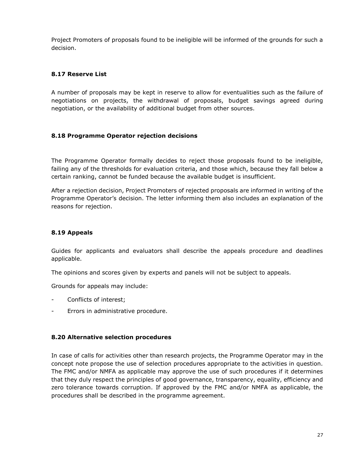Project Promoters of proposals found to be ineligible will be informed of the grounds for such a decision.

## <span id="page-26-0"></span>**8.17 Reserve List**

A number of proposals may be kept in reserve to allow for eventualities such as the failure of negotiations on projects, the withdrawal of proposals, budget savings agreed during negotiation, or the availability of additional budget from other sources.

## <span id="page-26-1"></span>**8.18 Programme Operator rejection decisions**

The Programme Operator formally decides to reject those proposals found to be ineligible, failing any of the thresholds for evaluation criteria, and those which, because they fall below a certain ranking, cannot be funded because the available budget is insufficient.

After a rejection decision, Project Promoters of rejected proposals are informed in writing of the Programme Operator's decision. The letter informing them also includes an explanation of the reasons for rejection.

## <span id="page-26-2"></span>**8.19 Appeals**

Guides for applicants and evaluators shall describe the appeals procedure and deadlines applicable.

The opinions and scores given by experts and panels will not be subject to appeals.

Grounds for appeals may include:

- Conflicts of interest;
- Errors in administrative procedure.

#### <span id="page-26-3"></span>**8.20 Alternative selection procedures**

In case of calls for activities other than research projects, the Programme Operator may in the concept note propose the use of selection procedures appropriate to the activities in question. The FMC and/or NMFA as applicable may approve the use of such procedures if it determines that they duly respect the principles of good governance, transparency, equality, efficiency and zero tolerance towards corruption. If approved by the FMC and/or NMFA as applicable, the procedures shall be described in the programme agreement.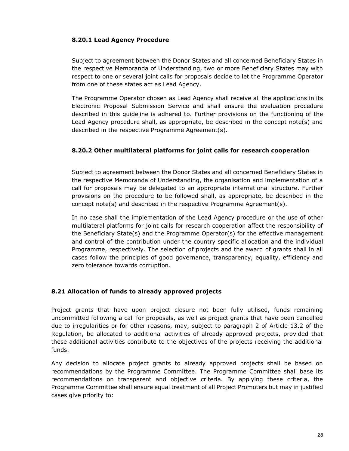#### **8.20.1 Lead Agency Procedure**

Subject to agreement between the Donor States and all concerned Beneficiary States in the respective Memoranda of Understanding, two or more Beneficiary States may with respect to one or several joint calls for proposals decide to let the Programme Operator from one of these states act as Lead Agency.

The Programme Operator chosen as Lead Agency shall receive all the applications in its Electronic Proposal Submission Service and shall ensure the evaluation procedure described in this guideline is adhered to. Further provisions on the functioning of the Lead Agency procedure shall, as appropriate, be described in the concept note(s) and described in the respective Programme Agreement(s).

#### **8.20.2 Other multilateral platforms for joint calls for research cooperation**

Subject to agreement between the Donor States and all concerned Beneficiary States in the respective Memoranda of Understanding, the organisation and implementation of a call for proposals may be delegated to an appropriate international structure. Further provisions on the procedure to be followed shall, as appropriate, be described in the concept note(s) and described in the respective Programme Agreement(s).

In no case shall the implementation of the Lead Agency procedure or the use of other multilateral platforms for joint calls for research cooperation affect the responsibility of the Beneficiary State(s) and the Programme Operator(s) for the effective management and control of the contribution under the country specific allocation and the individual Programme, respectively. The selection of projects and the award of grants shall in all cases follow the principles of good governance, transparency, equality, efficiency and zero tolerance towards corruption.

#### <span id="page-27-0"></span>**8.21 Allocation of funds to already approved projects**

Project grants that have upon project closure not been fully utilised, funds remaining uncommitted following a call for proposals, as well as project grants that have been cancelled due to irregularities or for other reasons, may, subject to paragraph 2 of Article 13.2 of the Regulation, be allocated to additional activities of already approved projects, provided that these additional activities contribute to the objectives of the projects receiving the additional funds.

Any decision to allocate project grants to already approved projects shall be based on recommendations by the Programme Committee. The Programme Committee shall base its recommendations on transparent and objective criteria. By applying these criteria, the Programme Committee shall ensure equal treatment of all Project Promoters but may in justified cases give priority to: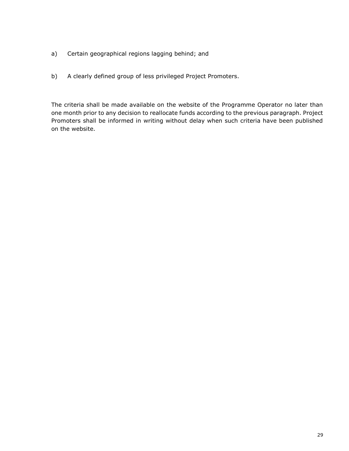- a) Certain geographical regions lagging behind; and
- b) A clearly defined group of less privileged Project Promoters.

The criteria shall be made available on the website of the Programme Operator no later than one month prior to any decision to reallocate funds according to the previous paragraph. Project Promoters shall be informed in writing without delay when such criteria have been published on the website.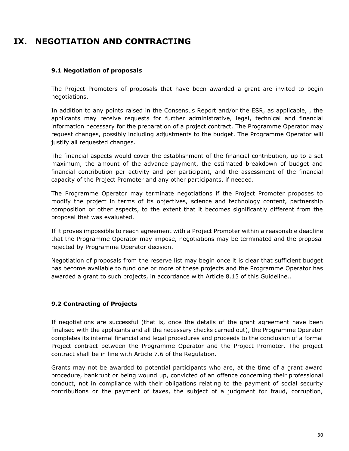# <span id="page-29-0"></span>**IX. NEGOTIATION AND CONTRACTING**

#### <span id="page-29-1"></span>**9.1 Negotiation of proposals**

The Project Promoters of proposals that have been awarded a grant are invited to begin negotiations.

In addition to any points raised in the Consensus Report and/or the ESR, as applicable, , the applicants may receive requests for further administrative, legal, technical and financial information necessary for the preparation of a project contract. The Programme Operator may request changes, possibly including adjustments to the budget. The Programme Operator will justify all requested changes.

The financial aspects would cover the establishment of the financial contribution, up to a set maximum, the amount of the advance payment, the estimated breakdown of budget and financial contribution per activity and per participant, and the assessment of the financial capacity of the Project Promoter and any other participants, if needed.

The Programme Operator may terminate negotiations if the Project Promoter proposes to modify the project in terms of its objectives, science and technology content, partnership composition or other aspects, to the extent that it becomes significantly different from the proposal that was evaluated.

If it proves impossible to reach agreement with a Project Promoter within a reasonable deadline that the Programme Operator may impose, negotiations may be terminated and the proposal rejected by Programme Operator decision.

Negotiation of proposals from the reserve list may begin once it is clear that sufficient budget has become available to fund one or more of these projects and the Programme Operator has awarded a grant to such projects, in accordance with Article 8.15 of this Guideline..

#### <span id="page-29-2"></span>**9.2 Contracting of Projects**

If negotiations are successful (that is, once the details of the grant agreement have been finalised with the applicants and all the necessary checks carried out), the Programme Operator completes its internal financial and legal procedures and proceeds to the conclusion of a formal Project contract between the Programme Operator and the Project Promoter. The project contract shall be in line with Article 7.6 of the Regulation.

Grants may not be awarded to potential participants who are, at the time of a grant award procedure, bankrupt or being wound up, convicted of an offence concerning their professional conduct, not in compliance with their obligations relating to the payment of social security contributions or the payment of taxes, the subject of a judgment for fraud, corruption,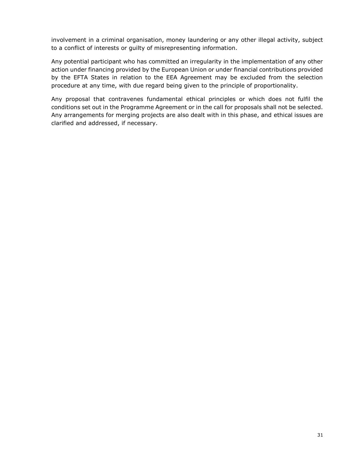involvement in a criminal organisation, money laundering or any other illegal activity, subject to a conflict of interests or guilty of misrepresenting information.

Any potential participant who has committed an irregularity in the implementation of any other action under financing provided by the European Union or under financial contributions provided by the EFTA States in relation to the EEA Agreement may be excluded from the selection procedure at any time, with due regard being given to the principle of proportionality.

Any proposal that contravenes fundamental ethical principles or which does not fulfil the conditions set out in the Programme Agreement or in the call for proposals shall not be selected. Any arrangements for merging projects are also dealt with in this phase, and ethical issues are clarified and addressed, if necessary.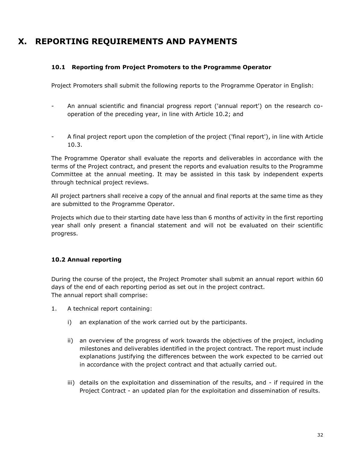# <span id="page-31-0"></span>**X. REPORTING REQUIREMENTS AND PAYMENTS**

#### <span id="page-31-1"></span>**10.1 Reporting from Project Promoters to the Programme Operator**

Project Promoters shall submit the following reports to the Programme Operator in English:

- An annual scientific and financial progress report ('annual report') on the research cooperation of the preceding year, in line with Article 10.2; and
- A final project report upon the completion of the project ('final report'), in line with Article 10.3.

The Programme Operator shall evaluate the reports and deliverables in accordance with the terms of the Project contract, and present the reports and evaluation results to the Programme Committee at the annual meeting. It may be assisted in this task by independent experts through technical project reviews.

All project partners shall receive a copy of the annual and final reports at the same time as they are submitted to the Programme Operator.

Projects which due to their starting date have less than 6 months of activity in the first reporting year shall only present a financial statement and will not be evaluated on their scientific progress.

## <span id="page-31-2"></span>**10.2 Annual reporting**

During the course of the project, the Project Promoter shall submit an annual report within 60 days of the end of each reporting period as set out in the project contract. The annual report shall comprise:

- 1. A technical report containing:
	- i) an explanation of the work carried out by the participants.
	- ii) an overview of the progress of work towards the objectives of the project, including milestones and deliverables identified in the project contract. The report must include explanations justifying the differences between the work expected to be carried out in accordance with the project contract and that actually carried out.
	- iii) details on the exploitation and dissemination of the results, and if required in the Project Contract - an updated plan for the exploitation and dissemination of results.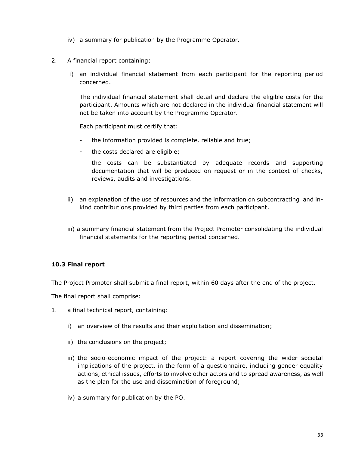- iv) a summary for publication by the Programme Operator.
- 2. A financial report containing:
	- i) an individual financial statement from each participant for the reporting period concerned.

The individual financial statement shall detail and declare the eligible costs for the participant. Amounts which are not declared in the individual financial statement will not be taken into account by the Programme Operator.

Each participant must certify that:

- the information provided is complete, reliable and true;
- the costs declared are eligible;
- the costs can be substantiated by adequate records and supporting documentation that will be produced on request or in the context of checks, reviews, audits and investigations.
- ii) an explanation of the use of resources and the information on subcontracting and inkind contributions provided by third parties from each participant.
- iii) a summary financial statement from the Project Promoter consolidating the individual financial statements for the reporting period concerned.

#### <span id="page-32-0"></span>**10.3 Final report**

The Project Promoter shall submit a final report, within 60 days after the end of the project.

The final report shall comprise:

- 1. a final technical report, containing:
	- i) an overview of the results and their exploitation and dissemination;
	- ii) the conclusions on the project;
	- iii) the socio-economic impact of the project: a report covering the wider societal implications of the project, in the form of a questionnaire, including gender equality actions, ethical issues, efforts to involve other actors and to spread awareness, as well as the plan for the use and dissemination of foreground;
	- iv) a summary for publication by the PO.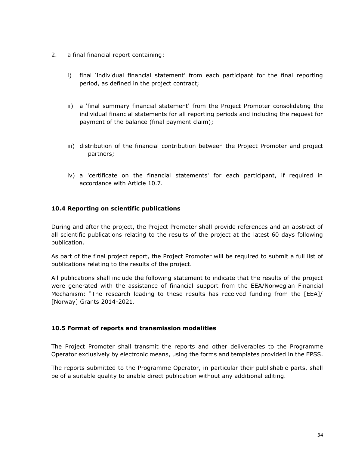- 2. a final financial report containing:
	- i) final 'individual financial statement' from each participant for the final reporting period, as defined in the project contract;
	- ii) a 'final summary financial statement' from the Project Promoter consolidating the individual financial statements for all reporting periods and including the request for payment of the balance (final payment claim);
	- iii) distribution of the financial contribution between the Project Promoter and project partners;
	- iv) a 'certificate on the financial statements' for each participant, if required in accordance with Article 10.7.

## <span id="page-33-0"></span>**10.4 Reporting on scientific publications**

During and after the project, the Project Promoter shall provide references and an abstract of all scientific publications relating to the results of the project at the latest 60 days following publication.

As part of the final project report, the Project Promoter will be required to submit a full list of publications relating to the results of the project.

All publications shall include the following statement to indicate that the results of the project were generated with the assistance of financial support from the EEA/Norwegian Financial Mechanism: "The research leading to these results has received funding from the [EEA]/ [Norway] Grants 2014-2021.

#### <span id="page-33-1"></span>**10.5 Format of reports and transmission modalities**

The Project Promoter shall transmit the reports and other deliverables to the Programme Operator exclusively by electronic means, using the forms and templates provided in the EPSS.

The reports submitted to the Programme Operator, in particular their publishable parts, shall be of a suitable quality to enable direct publication without any additional editing.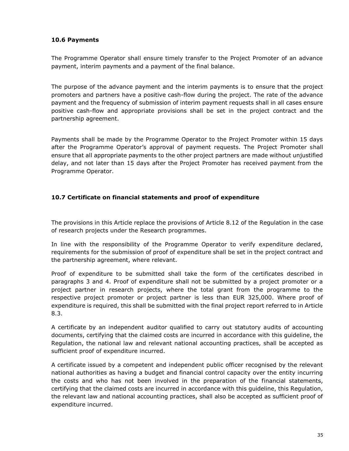#### <span id="page-34-0"></span>**10.6 Payments**

The Programme Operator shall ensure timely transfer to the Project Promoter of an advance payment, interim payments and a payment of the final balance.

The purpose of the advance payment and the interim payments is to ensure that the project promoters and partners have a positive cash-flow during the project. The rate of the advance payment and the frequency of submission of interim payment requests shall in all cases ensure positive cash-flow and appropriate provisions shall be set in the project contract and the partnership agreement.

Payments shall be made by the Programme Operator to the Project Promoter within 15 days after the Programme Operator's approval of payment requests. The Project Promoter shall ensure that all appropriate payments to the other project partners are made without unjustified delay, and not later than 15 days after the Project Promoter has received payment from the Programme Operator.

## <span id="page-34-1"></span>**10.7 Certificate on financial statements and proof of expenditure**

The provisions in this Article replace the provisions of Article 8.12 of the Regulation in the case of research projects under the Research programmes.

In line with the responsibility of the Programme Operator to verify expenditure declared, requirements for the submission of proof of expenditure shall be set in the project contract and the partnership agreement, where relevant.

Proof of expenditure to be submitted shall take the form of the certificates described in paragraphs 3 and 4. Proof of expenditure shall not be submitted by a project promoter or a project partner in research projects, where the total grant from the programme to the respective project promoter or project partner is less than EUR 325,000. Where proof of expenditure is required, this shall be submitted with the final project report referred to in Article 8.3.

A certificate by an independent auditor qualified to carry out statutory audits of accounting documents, certifying that the claimed costs are incurred in accordance with this guideline, the Regulation, the national law and relevant national accounting practices, shall be accepted as sufficient proof of expenditure incurred.

A certificate issued by a competent and independent public officer recognised by the relevant national authorities as having a budget and financial control capacity over the entity incurring the costs and who has not been involved in the preparation of the financial statements, certifying that the claimed costs are incurred in accordance with this guideline, this Regulation, the relevant law and national accounting practices, shall also be accepted as sufficient proof of expenditure incurred.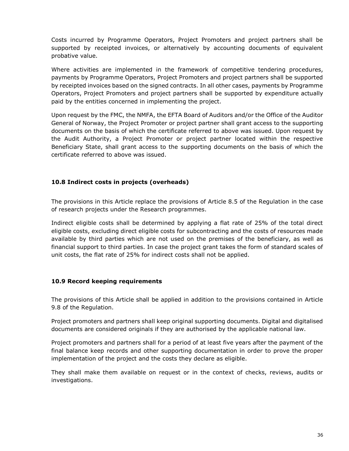Costs incurred by Programme Operators, Project Promoters and project partners shall be supported by receipted invoices, or alternatively by accounting documents of equivalent probative value.

Where activities are implemented in the framework of competitive tendering procedures, payments by Programme Operators, Project Promoters and project partners shall be supported by receipted invoices based on the signed contracts. In all other cases, payments by Programme Operators, Project Promoters and project partners shall be supported by expenditure actually paid by the entities concerned in implementing the project.

Upon request by the FMC, the NMFA, the EFTA Board of Auditors and/or the Office of the Auditor General of Norway, the Project Promoter or project partner shall grant access to the supporting documents on the basis of which the certificate referred to above was issued. Upon request by the Audit Authority, a Project Promoter or project partner located within the respective Beneficiary State, shall grant access to the supporting documents on the basis of which the certificate referred to above was issued.

## <span id="page-35-0"></span>**10.8 Indirect costs in projects (overheads)**

The provisions in this Article replace the provisions of Article 8.5 of the Regulation in the case of research projects under the Research programmes.

Indirect eligible costs shall be determined by applying a flat rate of 25% of the total direct eligible costs, excluding direct eligible costs for subcontracting and the costs of resources made available by third parties which are not used on the premises of the beneficiary, as well as financial support to third parties. In case the project grant takes the form of standard scales of unit costs, the flat rate of 25% for indirect costs shall not be applied.

#### <span id="page-35-1"></span>**10.9 Record keeping requirements**

The provisions of this Article shall be applied in addition to the provisions contained in Article 9.8 of the Regulation.

Project promoters and partners shall keep original supporting documents. Digital and digitalised documents are considered originals if they are authorised by the applicable national law.

Project promoters and partners shall for a period of at least five years after the payment of the final balance keep records and other supporting documentation in order to prove the proper implementation of the project and the costs they declare as eligible.

They shall make them available on request or in the context of checks, reviews, audits or investigations.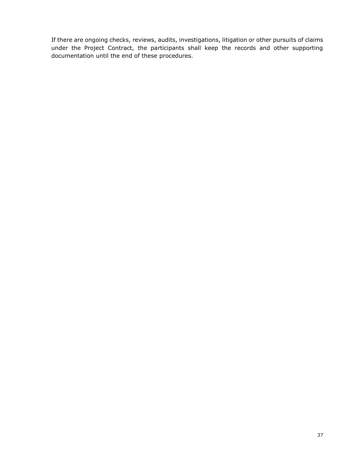If there are ongoing checks, reviews, audits, investigations, litigation or other pursuits of claims under the Project Contract, the participants shall keep the records and other supporting documentation until the end of these procedures.